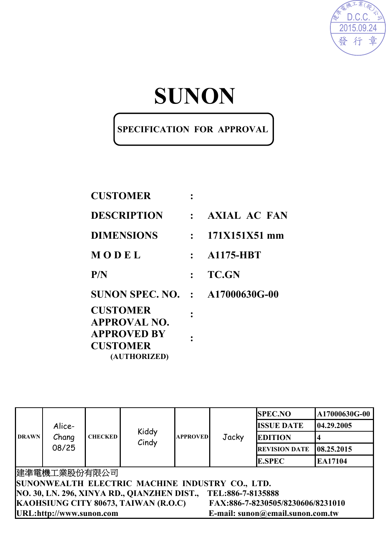

# **SUNON**

### **SPECIFICATION FOR APPROVAL**

| <b>CUSTOMER</b>                                       |                                  |                  |
|-------------------------------------------------------|----------------------------------|------------------|
| <b>DESCRIPTION</b>                                    |                                  | : AXIAL AC FAN   |
| <b>DIMENSIONS</b>                                     | $\bullet$ . The set of $\bullet$ | 171X151X51 mm    |
| MODEL                                                 | $\mathbf{L}$                     | <b>A1175-HBT</b> |
| P/N                                                   |                                  | <b>TC.GN</b>     |
| <b>SUNON SPEC. NO. : A17000630G-00</b>                |                                  |                  |
| <b>CUSTOMER</b><br><b>APPROVAL NO.</b>                |                                  |                  |
| <b>APPROVED BY</b><br><b>CUSTOMER</b><br>(AUTHORIZED) |                                  |                  |

|              |                          |                |                                                                                                                                        |                 |                   |                                   | 2015.09.24<br>章<br>發行 |  |  |
|--------------|--------------------------|----------------|----------------------------------------------------------------------------------------------------------------------------------------|-----------------|-------------------|-----------------------------------|-----------------------|--|--|
|              |                          |                |                                                                                                                                        | SUNON           |                   |                                   |                       |  |  |
|              |                          |                | SPECIFICATION FOR APPROVAL                                                                                                             |                 |                   |                                   |                       |  |  |
|              |                          |                | <b>CUSTOMER</b>                                                                                                                        |                 |                   |                                   |                       |  |  |
|              |                          |                | <b>DESCRIPTION</b>                                                                                                                     |                 | : AXIAL AC FAN    |                                   |                       |  |  |
|              |                          |                | <b>DIMENSIONS</b>                                                                                                                      | $\ddot{\cdot}$  | 171X151X51 mm     |                                   |                       |  |  |
|              |                          | MODEL          |                                                                                                                                        | $\ddot{\cdot}$  | <b>A1175-HBT</b>  |                                   |                       |  |  |
|              |                          |                |                                                                                                                                        |                 |                   |                                   |                       |  |  |
|              |                          | P/N            |                                                                                                                                        | $\ddot{\cdot}$  | <b>TC.GN</b>      |                                   |                       |  |  |
|              |                          |                | <b>SUNON SPEC. NO. : A17000630G-00</b>                                                                                                 |                 |                   |                                   |                       |  |  |
|              |                          |                | <b>CUSTOMER</b><br><b>APPROVAL NO.</b><br><b>APPROVED BY</b><br><b>CUSTOMER</b><br>(AUTHORIZED)                                        |                 |                   |                                   |                       |  |  |
|              |                          |                |                                                                                                                                        |                 |                   |                                   |                       |  |  |
|              |                          |                |                                                                                                                                        |                 |                   | <b>SPEC.NO</b>                    | A17000630G-00         |  |  |
|              | Alice-                   |                | Kiddy                                                                                                                                  |                 |                   | <b>ISSUE DATE</b>                 | 04.29.2005            |  |  |
| <b>DRAWN</b> | Chang                    | <b>CHECKED</b> | Cindy                                                                                                                                  | <b>APPROVED</b> | Jacky             | <b>EDITION</b>                    | 4                     |  |  |
|              | 08/25                    |                |                                                                                                                                        |                 |                   | <b>REVISION DATE</b>              | 08.25.2015            |  |  |
|              |                          |                |                                                                                                                                        |                 |                   | <b>E.SPEC</b>                     | EA17104               |  |  |
|              | 建準電機工業股份有限公司             |                | SUNONWEALTH ELECTRIC MACHINE INDUSTRY CO., LTD.<br>NO. 30, LN. 296, XINYA RD., QIANZHEN DIST.,<br>KAOHSIUNG CITY 80673, TAIWAN (R.O.C) |                 | TEL:886-7-8135888 | FAX:886-7-8230505/8230606/8231010 |                       |  |  |
|              | URL:http://www.sunon.com |                |                                                                                                                                        |                 |                   | E-mail: sunon@email.sunon.com.tw  |                       |  |  |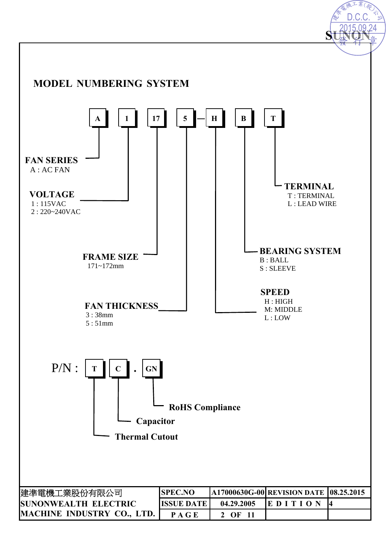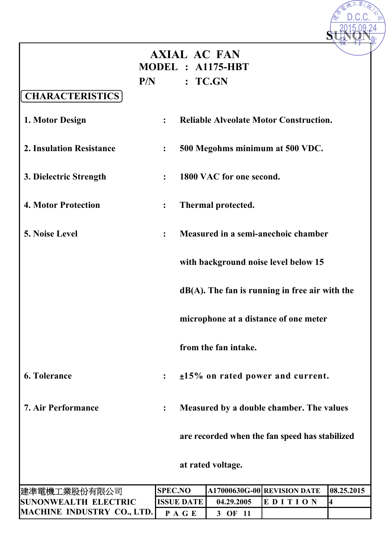|                             |     | <b>AXIAL AC FAN</b> |                          |                                                   |            |
|-----------------------------|-----|---------------------|--------------------------|---------------------------------------------------|------------|
|                             |     |                     | MODEL : A1175-HBT        |                                                   |            |
|                             | P/N |                     | : TCGN                   |                                                   |            |
| <b>CHARACTERISTICS</b>      |     |                     |                          |                                                   |            |
| 1. Motor Design             |     | $\ddot{\cdot}$      |                          | <b>Reliable Alveolate Motor Construction.</b>     |            |
| 2. Insulation Resistance    |     | :                   |                          | 500 Megohms minimum at 500 VDC.                   |            |
| 3. Dielectric Strength      |     | $\ddot{\cdot}$      | 1800 VAC for one second. |                                                   |            |
| <b>4. Motor Protection</b>  |     | $\ddot{\cdot}$      | Thermal protected.       |                                                   |            |
| 5. Noise Level              |     | $\ddot{\cdot}$      |                          | Measured in a semi-anechoic chamber               |            |
|                             |     |                     |                          | with background noise level below 15              |            |
|                             |     |                     |                          | $dB(A)$ . The fan is running in free air with the |            |
|                             |     |                     |                          | microphone at a distance of one meter             |            |
|                             |     |                     | from the fan intake.     |                                                   |            |
| <b>6. Tolerance</b>         |     | $\ddot{\cdot}$      |                          | $\pm 15\%$ on rated power and current.            |            |
| <b>7. Air Performance</b>   |     | $\ddot{\cdot}$      |                          | Measured by a double chamber. The values          |            |
|                             |     |                     |                          | are recorded when the fan speed has stabilized    |            |
|                             |     |                     | at rated voltage.        |                                                   |            |
|                             |     |                     |                          |                                                   |            |
| 建準電機工業股份有限公司                |     | <b>SPEC.NO</b>      |                          | A17000630G-00 REVISION DATE                       | 08.25.2015 |
| <b>SUNONWEALTH ELECTRIC</b> |     | <b>ISSUE DATE</b>   | 04.29.2005               | EDITION                                           | 4          |
| MACHINE INDUSTRY CO., LTD.  |     | PAGE                | 3 OF 11                  |                                                   |            |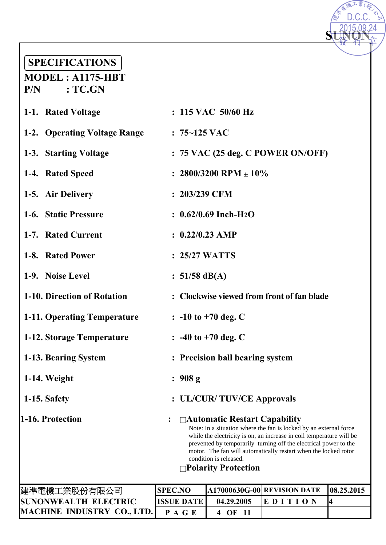## **SPECIFICATIONS**

| <b>SPECIFICATIONS</b><br>$MODEL: A1175-HBT$ |                   |                                                                                       |                                                                                                                                                                                                                                                                                  |            |
|---------------------------------------------|-------------------|---------------------------------------------------------------------------------------|----------------------------------------------------------------------------------------------------------------------------------------------------------------------------------------------------------------------------------------------------------------------------------|------------|
| $P/N$ : TC.GN                               |                   |                                                                                       |                                                                                                                                                                                                                                                                                  |            |
| 1-1. Rated Voltage                          |                   | $: 115$ VAC $50/60$ Hz                                                                |                                                                                                                                                                                                                                                                                  |            |
| 1-2. Operating Voltage Range                | $: 75 - 125$ VAC  |                                                                                       |                                                                                                                                                                                                                                                                                  |            |
| 1-3. Starting Voltage                       |                   |                                                                                       | $: 75$ VAC (25 deg. C POWER ON/OFF)                                                                                                                                                                                                                                              |            |
| 1-4. Rated Speed                            |                   | : $2800/3200$ RPM $\pm 10\%$                                                          |                                                                                                                                                                                                                                                                                  |            |
| 1-5. Air Delivery                           | $: 203/239$ CFM   |                                                                                       |                                                                                                                                                                                                                                                                                  |            |
| 1-6. Static Pressure                        |                   | $: 0.62/0.69$ Inch-H <sub>2</sub> O                                                   |                                                                                                                                                                                                                                                                                  |            |
| 1-7. Rated Current                          | $: 0.22/0.23$ AMP |                                                                                       |                                                                                                                                                                                                                                                                                  |            |
| 1-8. Rated Power                            | : 25/27 WATTS     |                                                                                       |                                                                                                                                                                                                                                                                                  |            |
| 1-9. Noise Level                            | : $51/58$ dB(A)   |                                                                                       |                                                                                                                                                                                                                                                                                  |            |
| 1-10. Direction of Rotation                 |                   |                                                                                       | : Clockwise viewed from front of fan blade                                                                                                                                                                                                                                       |            |
| 1-11. Operating Temperature                 |                   | $: -10$ to $+70$ deg. C                                                               |                                                                                                                                                                                                                                                                                  |            |
| 1-12. Storage Temperature                   |                   | $: -40$ to $+70$ deg. C                                                               |                                                                                                                                                                                                                                                                                  |            |
| 1-13. Bearing System                        |                   | : Precision ball bearing system                                                       |                                                                                                                                                                                                                                                                                  |            |
| 1-14. Weight                                | : 908 g           |                                                                                       |                                                                                                                                                                                                                                                                                  |            |
| 1-15. Safety                                |                   | : UL/CUR/TUV/CE Approvals                                                             |                                                                                                                                                                                                                                                                                  |            |
| 1-16. Protection                            |                   | $\Box$ Automatic Restart Capability<br>condition is released.<br>□Polarity Protection | Note: In a situation where the fan is locked by an external force<br>while the electricity is on, an increase in coil temperature will be<br>prevented by temporarily turning off the electrical power to the<br>motor. The fan will automatically restart when the locked rotor |            |
| 建準電機工業股份有限公司                                | <b>SPEC.NO</b>    |                                                                                       | A17000630G-00 REVISION DATE                                                                                                                                                                                                                                                      | 08.25.2015 |
| <b>SUNONWEALTH ELECTRIC</b>                 | <b>ISSUE DATE</b> | 04.29.2005                                                                            | EDITION                                                                                                                                                                                                                                                                          | 4          |
| <b>MACHINE INDUSTRY CO., LTD.</b>           | PAGE              | 4 OF 11                                                                               |                                                                                                                                                                                                                                                                                  |            |

D.C.C.

 $\overline{\mathcal{K}(\mathcal{A}\!\!R)}$ 

**ALICE** 

| 建準電機工業股份有限公司                      | <b>SPEC.NO</b>       |            | <b>A17000630G-00 REVISION DATE 08.25.2015</b> |  |
|-----------------------------------|----------------------|------------|-----------------------------------------------|--|
| <b>SUNONWEALTH ELECTRIC</b>       | <b>IISSUE DATE I</b> | 04.29.2005 | <b>IEDITION</b>                               |  |
| <b>MACHINE INDUSTRY CO., LTD.</b> | <b>PAGE</b>          | 4 OF       |                                               |  |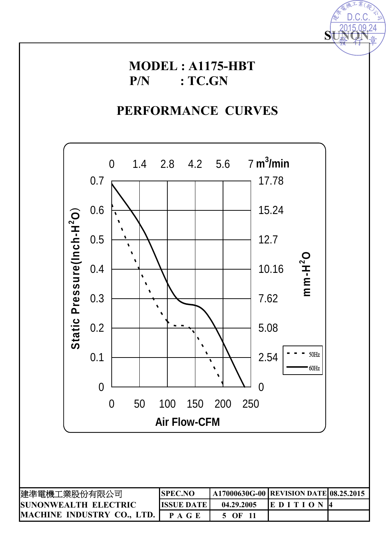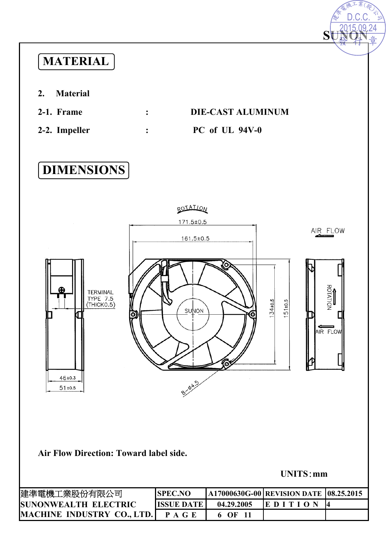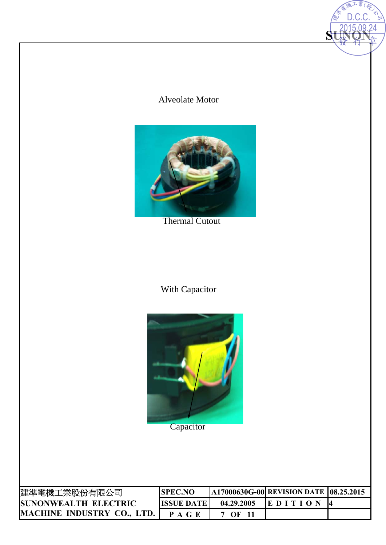### Alveolate Motor

**SUNON** 

2015.09.24 D.C.C.



Thermal Cutout

### With Capacitor



**Capacitor** 

| 建準電機工業股份有限公司                | ISPEC.NO          |            | A17000630G-00 REVISION DATE 08.25.2015 |  |
|-----------------------------|-------------------|------------|----------------------------------------|--|
| <b>SUNONWEALTH ELECTRIC</b> | <b>ISSUE DATE</b> | 04.29.2005 | <b>IE DITION</b>                       |  |
| MACHINE INDUSTRY CO., LTD.  | P A G E           | OF         |                                        |  |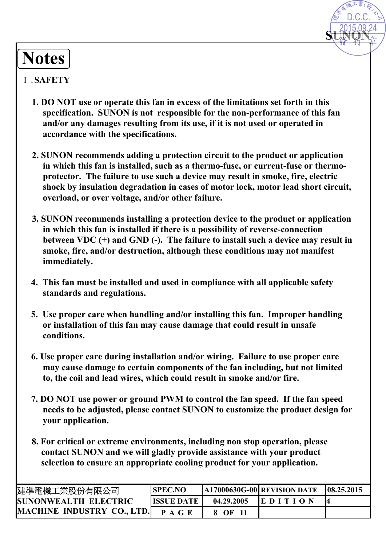# **Notes**

#### Ⅰ.**SAFETY**

**1. DO NOT use or operate this fan in excess of the limitations set forth in this specification. SUNON is not responsible for the non-performance of this fan and/or any damages resulting from its use, if it is not used or operated in accordance with the specifications.** 

**SUNON**

D.C.C.

- **2. SUNON recommends adding a protection circuit to the product or application in which this fan is installed, such as a thermo-fuse, or current-fuse or thermoprotector. The failure to use such a device may result in smoke, fire, electric shock by insulation degradation in cases of motor lock, motor lead short circuit, overload, or over voltage, and/or other failure.**
- **3. SUNON recommends installing a protection device to the product or application in which this fan is installed if there is a possibility of reverse-connection between VDC (+) and GND (-). The failure to install such a device may result in smoke, fire, and/or destruction, although these conditions may not manifest immediately. MOTES**<br> **MACHINE INTERFFIV**<br> **MACHINE IS ANTERFFIV**<br> **MACHINE IS ANTERFFIV**<br> **MACHINE IS ANTERFFIVE CO.**<br> **MACHINE IS ANTERFFIVE CO.** IS CONSIDE THE IS AND required to the map of the map of the spectral from the section
	- **4. This fan must be installed and used in compliance with all applicable safety standards and regulations.**
	- **5. Use proper care when handling and/or installing this fan. Improper handling or installation of this fan may cause damage that could result in unsafe conditions.**
	- **6. Use proper care during installation and/or wiring. Failure to use proper care may cause damage to certain components of the fan including, but not limited to, the coil and lead wires, which could result in smoke and/or fire.**
	- **7. DO NOT use power or ground PWM to control the fan speed. If the fan speed needs to be adjusted, please contact SUNON to customize the product design for your application.**
	- **8. For critical or extreme environments, including non stop operation, please contact SUNON and we will gladly provide assistance with your product selection to ensure an appropriate cooling product for your application.**

| 建準電機工業股份有限公司                      | <b>SPEC.NO</b>    |            | <b>A17000630G-00 REVISION DATE</b> | 108.25.2015 |
|-----------------------------------|-------------------|------------|------------------------------------|-------------|
| <b>SUNONWEALTH ELECTRIC</b>       | <b>ISSUE DATE</b> | 04.29.2005 | <b>IEDITION</b>                    |             |
| <b>MACHINE INDUSTRY CO., LTD.</b> | P A G E           | - OF       |                                    |             |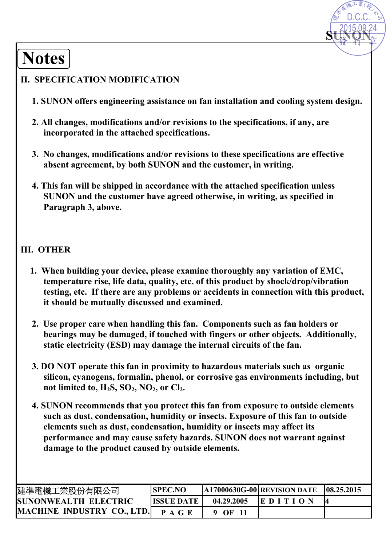# **Notes**

### **II. SPECIFICATION MODIFICATION**

**1. SUNON offers engineering assistance on fan installation and cooling system design.** 

**SUNON** 

D.C.C.

- **2. All changes, modifications and/or revisions to the specifications, if any, are incorporated in the attached specifications.**
- **3. No changes, modifications and/or revisions to these specifications are effective absent agreement, by both SUNON and the customer, in writing.**
- **4. This fan will be shipped in accordance with the attached specification unless SUNON and the customer have agreed otherwise, in writing, as specified in Paragraph 3, above.**

### **III. OTHER**

- **1. When building your device, please examine thoroughly any variation of EMC, temperature rise, life data, quality, etc. of this product by shock/drop/vibration testing, etc. If there are any problems or accidents in connection with this product, it should be mutually discussed and examined.**
- **2. Use proper care when handling this fan. Components such as fan holders or bearings may be damaged, if touched with fingers or other objects. Additionally, static electricity (ESD) may damage the internal circuits of the fan.**
- **3. DO NOT operate this fan in proximity to hazardous materials such as organic silicon, cyanogens, formalin, phenol, or corrosive gas environments including, but**  not limited to,  $H_2S$ ,  $SO_2$ ,  $NO_2$ , or  $Cl_2$ .
- **4. SUNON recommends that you protect this fan from exposure to outside elements such as dust, condensation, humidity or insects. Exposure of this fan to outside elements such as dust, condensation, humidity or insects may affect its performance and may cause safety hazards. SUNON does not warrant against damage to the product caused by outside elements. MACHINE IF A SET AND ACTES (SET AND ACTES)**<br> **MACHINE IN ACTES (SET AND ACTES (SET AND ACTES IN ACTE)**<br> **MACHINE IN ACTES (SET AND ACTES IN ACTES IN ACTES (SET AND ACTES IN ACTE)**<br> **MACHINE IN A GENERAL ACTES (SET AND ACT**

| 建準電機工業股份有限公司                      | <b>SPEC.NO</b>    |            | $[A17000630G-00]$ REVISION DATE | 108.25.2015 |
|-----------------------------------|-------------------|------------|---------------------------------|-------------|
| <b>ISUNONWEALTH ELECTRIC</b>      | <b>ISSUE DATE</b> | 04.29.2005 | <b>IE DITION</b>                |             |
| <b>MACHINE INDUSTRY CO., LTD.</b> | <b>PAGE</b>       | $9$ OF     |                                 |             |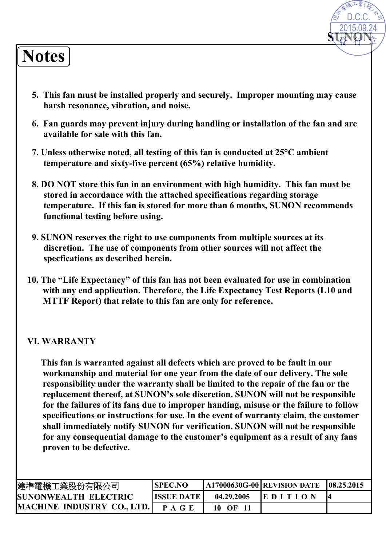# **Notes**

**5. This fan must be installed properly and securely. Improper mounting may cause harsh resonance, vibration, and noise.**

**SUNON** 

2015.09.24 D.C.C.

- **6. Fan guards may prevent injury during handling or installation of the fan and are available for sale with this fan.**
- **7. Unless otherwise noted, all testing of this fan is conducted at 25°C ambient temperature and sixty-five percent (65%) relative humidity.**
- **8. DO NOT store this fan in an environment with high humidity. This fan must be stored in accordance with the attached specifications regarding storage temperature. If this fan is stored for more than 6 months, SUNON recommends functional testing before using.**
- **9. SUNON reserves the right to use components from multiple sources at its discretion. The use of components from other sources will not affect the specfications as described herein.**
- **10. The "Life Expectancy" of this fan has not been evaluated for use in combination with any end application. Therefore, the Life Expectancy Test Reports (L10 and MTTF Report) that relate to this fan are only for reference.**

#### **VI. WARRANTY**

**This fan is warranted against all defects which are proved to be fault in our workmanship and material for one year from the date of our delivery. The sole responsibility under the warranty shall be limited to the repair of the fan or the replacement thereof, at SUNON's sole discretion. SUNON will not be responsible for the failures of its fans due to improper handing, misuse or the failure to follow specifications or instructions for use. In the event of warranty claim, the customer shall immediately notify SUNON for verification. SUNON will not be responsible for any consequential damage to the customer's equipment as a result of any fans proven to be defective.** 

| 建準電機工業股份有限公司                      | <b>SPEC.NO</b>      |            | $\mid$ A17000630G-00 REVISION DATE | 108.25.2015 |
|-----------------------------------|---------------------|------------|------------------------------------|-------------|
| <b>ISUNONWEALTH ELECTRIC</b>      | <b>ISSUE DATE I</b> | 04.29.2005 | <b>IEDITION</b>                    |             |
| <b>MACHINE INDUSTRY CO., LTD.</b> | P A G E             | 10<br>OF   |                                    |             |